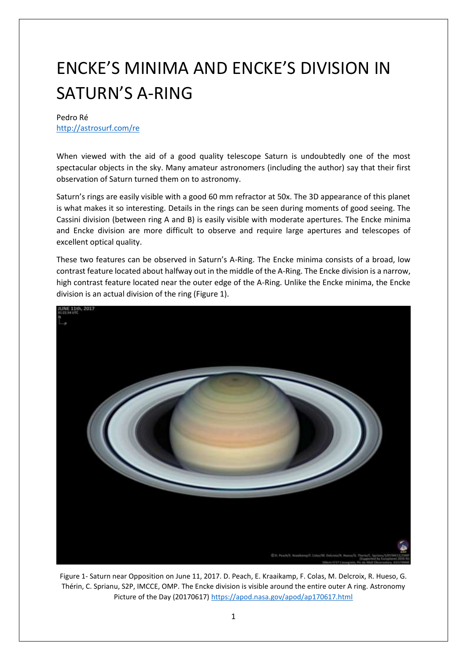## ENCKE'S MINIMA AND ENCKE'S DIVISION IN SATURN'S A-RING

## Pedro Ré <http://astrosurf.com/re>

When viewed with the aid of a good quality telescope Saturn is undoubtedly one of the most spectacular objects in the sky. Many amateur astronomers (including the author) say that their first observation of Saturn turned them on to astronomy.

Saturn's rings are easily visible with a good 60 mm refractor at 50x. The 3D appearance of this planet is what makes it so interesting. Details in the rings can be seen during moments of good seeing. The Cassini division (between ring A and B) is easily visible with moderate apertures. The Encke minima and Encke division are more difficult to observe and require large apertures and telescopes of excellent optical quality.

These two features can be observed in Saturn's A-Ring. The Encke minima consists of a broad, low contrast feature located about halfway out in the middle of the A-Ring. The Encke division is a narrow, high contrast feature located near the outer edge of the A-Ring. Unlike the Encke minima, the Encke division is an actual division of the ring (Figure 1).



Figure 1- Saturn near Opposition on June 11, 2017. D. Peach, E. Kraaikamp, F. Colas, M. Delcroix, R. Hueso, G. Thérin, C. Sprianu, S2P, IMCCE, OMP. The Encke division is visible around the entire outer A ring. Astronomy Picture of the Day (20170617)<https://apod.nasa.gov/apod/ap170617.html>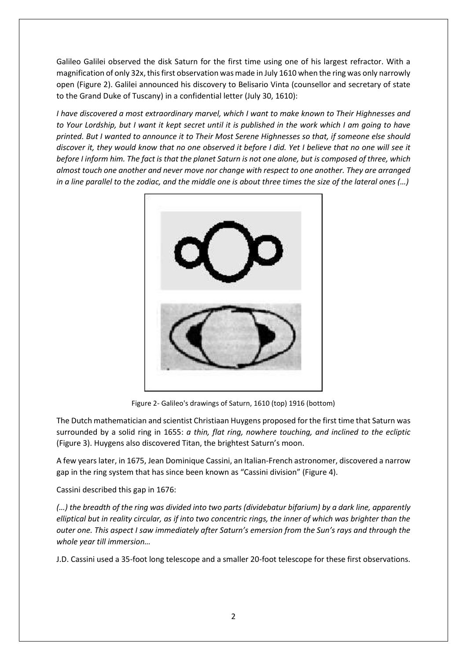Galileo Galilei observed the disk Saturn for the first time using one of his largest refractor. With a magnification of only 32x, this first observation was made in July 1610 when the ring was only narrowly open (Figure 2). Galilei announced his discovery to Belisario Vinta (counsellor and secretary of state to the Grand Duke of Tuscany) in a confidential letter (July 30, 1610):

*I have discovered a most extraordinary marvel, which I want to make known to Their Highnesses and to Your Lordship, but I want it kept secret until it is published in the work which I am going to have printed. But I wanted to announce it to Their Most Serene Highnesses so that, if someone else should discover it, they would know that no one observed it before I did. Yet I believe that no one will see it before I inform him. The fact is that the planet Saturn is not one alone, but is composed of three, which almost touch one another and never move nor change with respect to one another. They are arranged in a line parallel to the zodiac, and the middle one is about three times the size of the lateral ones (...)* 



Figure 2- Galileo's drawings of Saturn, 1610 (top) 1916 (bottom)

The Dutch mathematician and scientist Christiaan Huygens proposed for the first time that Saturn was surrounded by a solid ring in 1655: *a thin, flat ring, nowhere touching, and inclined to the ecliptic* (Figure 3). Huygens also discovered Titan, the brightest Saturn's moon.

A few years later, in 1675, Jean Dominique Cassini, an Italian-French astronomer, discovered a narrow gap in the ring system that has since been known as "Cassini division" (Figure 4).

Cassini described this gap in 1676:

*(…) the breadth of the ring was divided into two parts (dividebatur bifarium) by a dark line, apparently elliptical but in reality circular, as if into two concentric rings, the inner of which was brighter than the outer one. This aspect I saw immediately after Saturn's emersion from the Sun's rays and through the whole year till immersion…*

J.D. Cassini used a 35-foot long telescope and a smaller 20-foot telescope for these first observations.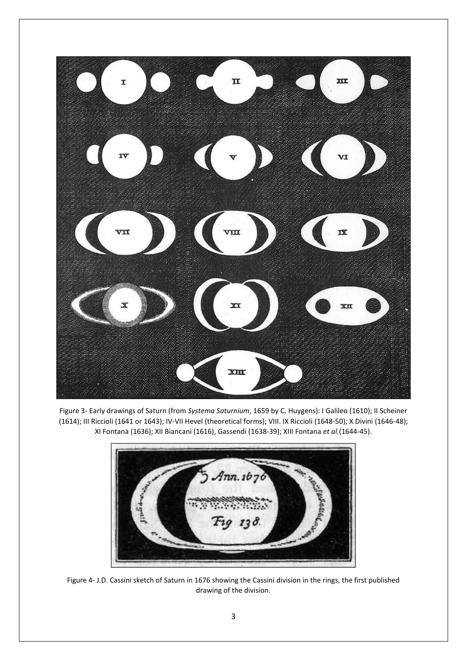

Figure 3- Early drawings of Saturn (from *Systema Saturnium*, 1659 by C. Huygens): I Galileo (1610); II Scheiner (1614); III Riccioli (1641 or 1643); IV-VII Hevel (theoretical forms); VIII. IX Riccioli (1648-50); X Divini (1646-48); XI Fontana (1636); XII Biancani (1616), Gassendi (1638-39); XIII Fontana *et al.*(1644-45).



Figure 4- J.D. Cassini sketch of Saturn in 1676 showing the Cassini division in the rings, the first published drawing of the division.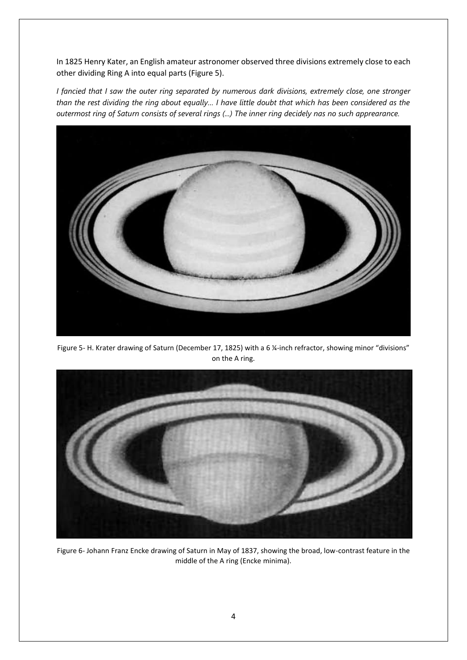In 1825 Henry Kater, an English amateur astronomer observed three divisions extremely close to each other dividing Ring A into equal parts (Figure 5).

*I fancied that I saw the outer ring separated by numerous dark divisions, extremely close, one stronger than the rest dividing the ring about equally… I have little doubt that which has been considered as the outermost ring of Saturn consists of several rings (...) The inner ring decidely nas no such apprearance.*



Figure 5- H. Krater drawing of Saturn (December 17, 1825) with a 6 ¼-inch refractor, showing minor "divisions" on the A ring.



Figure 6- Johann Franz Encke drawing of Saturn in May of 1837, showing the broad, low-contrast feature in the middle of the A ring (Encke minima).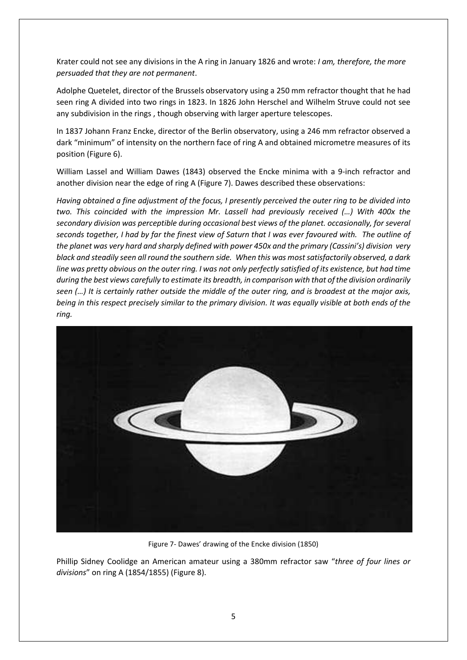Krater could not see any divisions in the A ring in January 1826 and wrote: *I am, therefore, the more persuaded that they are not permanent*.

Adolphe Quetelet, director of the Brussels observatory using a 250 mm refractor thought that he had seen ring A divided into two rings in 1823. In 1826 John Herschel and Wilhelm Struve could not see any subdivision in the rings , though observing with larger aperture telescopes.

In 1837 Johann Franz Encke, director of the Berlin observatory, using a 246 mm refractor observed a dark "minimum" of intensity on the northern face of ring A and obtained micrometre measures of its position (Figure 6).

William Lassel and William Dawes (1843) observed the Encke minima with a 9-inch refractor and another division near the edge of ring A (Figure 7). Dawes described these observations:

*Having obtained a fine adjustment of the focus, I presently perceived the outer ring to be divided into two. This coincided with the impression Mr. Lassell had previously received (…) With 400x the secondary division was perceptible during occasional best views of the planet. occasionally, for several seconds together, I had by far the finest view of Saturn that I was ever favoured with. The outline of the planet was very hard and sharply defined with power 450x and the primary (Cassini's) division very black and steadily seen all round the southern side. When this was most satisfactorily observed, a dark line was pretty obvious on the outer ring. I was not only perfectly satisfied of its existence, but had time during the best views carefully to estimate its breadth, in comparison with that of the division ordinarily seen (…) It is certainly rather outside the middle of the outer ring, and is broadest at the major axis, being in this respect precisely similar to the primary division. It was equally visible at both ends of the ring.*



Figure 7- Dawes' drawing of the Encke division (1850)

Phillip Sidney Coolidge an American amateur using a 380mm refractor saw "*three of four lines or divisions*" on ring A (1854/1855) (Figure 8).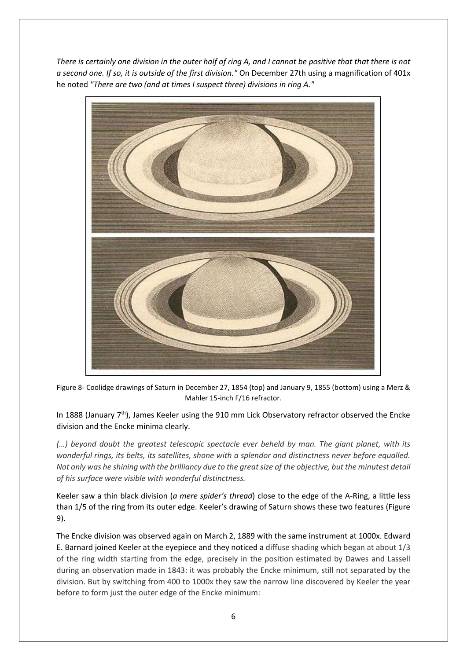*There is certainly one division in the outer half of ring A, and I cannot be positive that that there is not a second one. If so, it is outside of the first division."* On December 27th using a magnification of 401x he noted *"There are two (and at times I suspect three) divisions in ring A."*



Figure 8- Coolidge drawings of Saturn in December 27, 1854 (top) and January 9, 1855 (bottom) using a Merz & Mahler 15-inch F/16 refractor.

In 1888 (January 7<sup>th</sup>), James Keeler using the 910 mm Lick Observatory refractor observed the Encke division and the Encke minima clearly.

*(…) beyond doubt the greatest telescopic spectacle ever beheld by man. The giant planet, with its wonderful rings, its belts, its satellites, shone with a splendor and distinctness never before equalled. Not only was he shining with the brilliancy due to the great size of the objective, but the minutest detail of his surface were visible with wonderful distinctness.*

Keeler saw a thin black division (*a mere spider's thread*) close to the edge of the A-Ring, a little less than 1/5 of the ring from its outer edge. Keeler's drawing of Saturn shows these two features (Figure 9).

The Encke division was observed again on March 2, 1889 with the same instrument at 1000x. Edward E. Barnard joined Keeler at the eyepiece and they noticed a diffuse shading which began at about 1/3 of the ring width starting from the edge, precisely in the position estimated by Dawes and Lassell during an observation made in 1843: it was probably the Encke minimum, still not separated by the division. But by switching from 400 to 1000x they saw the narrow line discovered by Keeler the year before to form just the outer edge of the Encke minimum: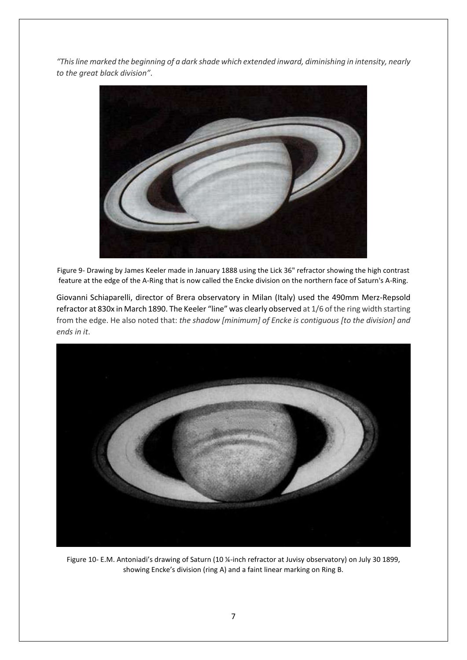*"This line marked the beginning of a dark shade which extended inward, diminishing in intensity, nearly to the great black division"*.



Figure 9- Drawing by James Keeler made in January 1888 using the Lick 36" refractor showing the high contrast feature at the edge of the A-Ring that is now called the Encke division on the northern face of Saturn's A-Ring.

Giovanni Schiaparelli, director of Brera observatory in Milan (Italy) used the 490mm Merz-Repsold refractor at 830x in March 1890. The Keeler "line" was clearly observed at 1/6 of the ring width starting from the edge. He also noted that: *the shadow [minimum] of Encke is contiguous [to the division] and ends in it*.



Figure 10- E.M. Antoniadi's drawing of Saturn (10 ¼-inch refractor at Juvisy observatory) on July 30 1899, showing Encke's division (ring A) and a faint linear marking on Ring B.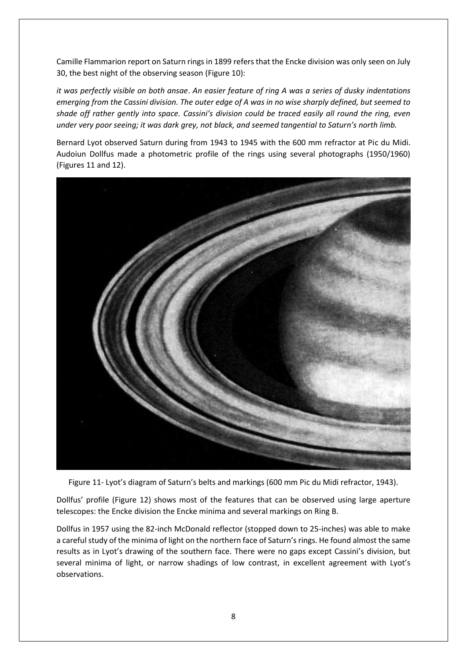Camille Flammarion report on Saturn rings in 1899 refers that the Encke division was only seen on July 30, the best night of the observing season (Figure 10):

*it was perfectly visible on both ansae*. *An easier feature of ring A was a series of dusky indentations emerging from the Cassini division. The outer edge of A was in no wise sharply defined, but seemed to shade off rather gently into space. Cassini's division could be traced easily all round the ring, even under very poor seeing; it was dark grey, not black, and seemed tangential to Saturn's north limb.*

Bernard Lyot observed Saturn during from 1943 to 1945 with the 600 mm refractor at Pic du Midi. Audoiun Dollfus made a photometric profile of the rings using several photographs (1950/1960) (Figures 11 and 12).



Figure 11- Lyot's diagram of Saturn's belts and markings (600 mm Pic du Midi refractor, 1943).

Dollfus' profile (Figure 12) shows most of the features that can be observed using large aperture telescopes: the Encke division the Encke minima and several markings on Ring B.

Dollfus in 1957 using the 82-inch McDonald reflector (stopped down to 25-inches) was able to make a careful study of the minima of light on the northern face of Saturn's rings. He found almost the same results as in Lyot's drawing of the southern face. There were no gaps except Cassini's division, but several minima of light, or narrow shadings of low contrast, in excellent agreement with Lyot's observations.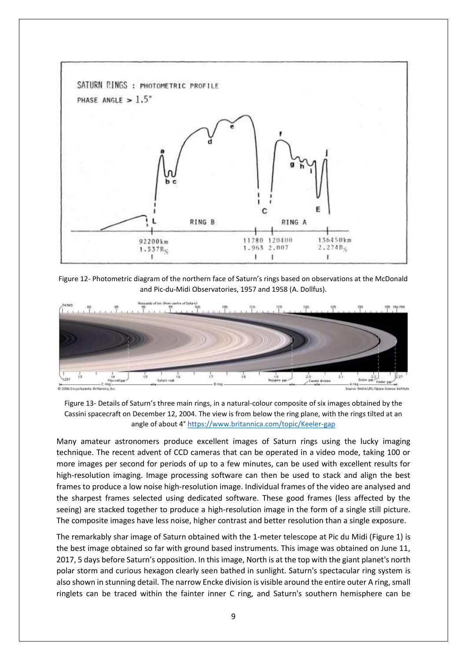

Figure 12- Photometric diagram of the northern face of Saturn's rings based on observations at the McDonald and Pic-du-Midi Observatories, 1957 and 1958 (A. Dollfus).



Figure 13- Details of Saturn's three main rings, in a natural-colour composite of six images obtained by the Cassini spacecraft on December 12, 2004. The view is from below the ring plane, with the rings tilted at an angle of about 4° <https://www.britannica.com/topic/Keeler-gap>

Many amateur astronomers produce excellent images of Saturn rings using the lucky imaging technique. The recent advent of CCD cameras that can be operated in a video mode, taking 100 or more images per second for periods of up to a few minutes, can be used with excellent results for high-resolution imaging. Image processing software can then be used to stack and align the best frames to produce a low noise high-resolution image. Individual frames of the video are analysed and the sharpest frames selected using dedicated software. These good frames (less affected by the seeing) are stacked together to produce a high-resolution image in the form of a single still picture. The composite images have less noise, higher contrast and better resolution than a single exposure.

The remarkably shar image of Saturn obtained with the 1-meter telescope at Pic du Midi (Figure 1) is the best image obtained so far with ground based instruments. This image was obtained on June 11, 2017, 5 days before Saturn's opposition. In this image, North is at the top with the giant planet's north polar storm and curious hexagon clearly seen bathed in sunlight. Saturn's spectacular ring system is also shown in stunning detail. The narrow Encke division is visible around the entire outer A ring, small ringlets can be traced within the fainter inner C ring, and Saturn's southern hemisphere can be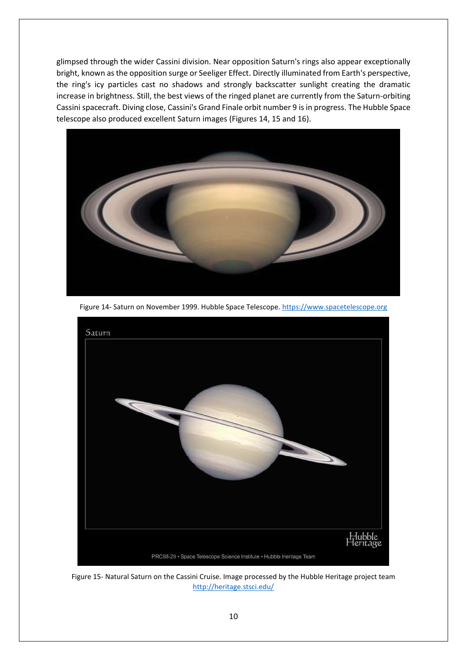glimpsed through the wider Cassini division. Near opposition Saturn's rings also appear exceptionally bright, known as the opposition surge or Seeliger Effect. Directly illuminated from Earth's perspective, the ring's icy particles cast no shadows and strongly backscatter sunlight creating the dramatic increase in brightness. Still, the best views of the ringed planet are currently from the Saturn-orbiting Cassini spacecraft. Diving close, Cassini's Grand Finale orbit number 9 is in progress. The Hubble Space telescope also produced excellent Saturn images (Figures 14, 15 and 16).



Figure 14- Saturn on November 1999. Hubble Space Telescope. [https://www.spacetelescope.org](https://www.spacetelescope.org/)



Figure 15- Natural Saturn on the Cassini Cruise. Image processed by the Hubble Heritage project team <http://heritage.stsci.edu/>